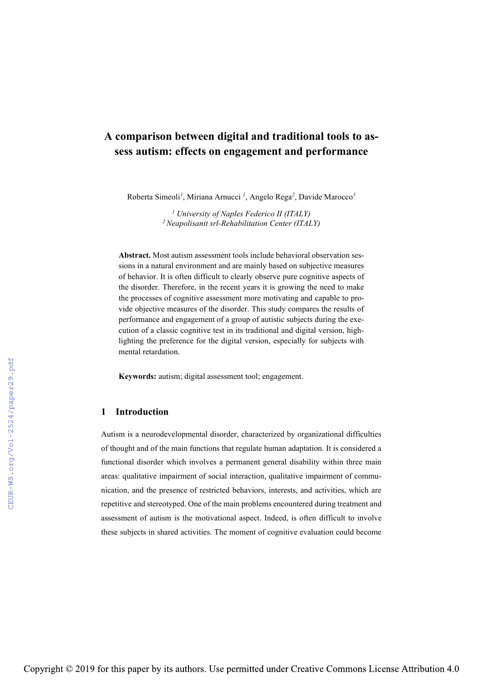# **A comparison between digital and traditional tools to assess autism: effects on engagement and performance**

Roberta Simeoli*<sup>1</sup>* , Miriana Arnucci *<sup>1</sup>* , Angelo Rega*<sup>2</sup>* , Davide Marocco*<sup>1</sup>*

*<sup>1</sup> University of Naples Federico II (ITALY) 2 Neapolisanit srl-Rehabilitation Center (ITALY)*

**Abstract.** Most autism assessment tools include behavioral observation sessions in a natural environment and are mainly based on subjective measures of behavior. It is often difficult to clearly observe pure cognitive aspects of the disorder. Therefore, in the recent years it is growing the need to make the processes of cognitive assessment more motivating and capable to provide objective measures of the disorder. This study compares the results of performance and engagement of a group of autistic subjects during the execution of a classic cognitive test in its traditional and digital version, highlighting the preference for the digital version, especially for subjects with mental retardation.

**Keywords:** autism; digital assessment tool; engagement.

### **1 Introduction**

Autism is a neurodevelopmental disorder, characterized by organizational difficulties of thought and of the main functions that regulate human adaptation. It is considered a functional disorder which involves a permanent general disability within three main areas: qualitative impairment of social interaction, qualitative impairment of communication, and the presence of restricted behaviors, interests, and activities, which are repetitive and stereotyped. One of the main problems encountered during treatment and assessment of autism is the motivational aspect. Indeed, is often difficult to involve these subjects in shared activities. The moment of cognitive evaluation could become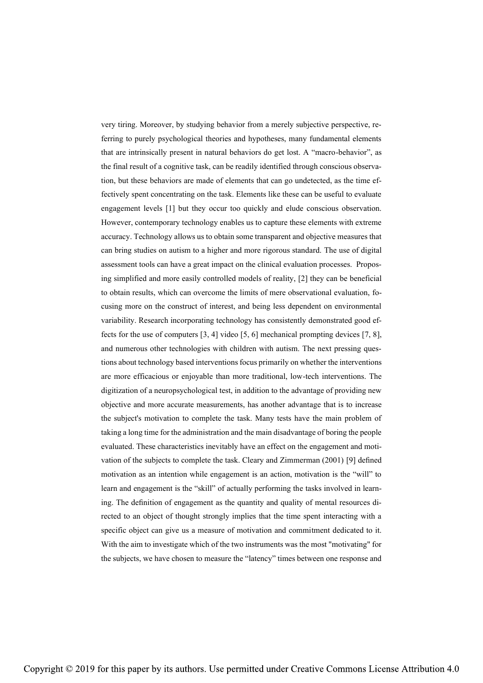very tiring. Moreover, by studying behavior from a merely subjective perspective, referring to purely psychological theories and hypotheses, many fundamental elements that are intrinsically present in natural behaviors do get lost. A "macro-behavior", as the final result of a cognitive task, can be readily identified through conscious observation, but these behaviors are made of elements that can go undetected, as the time effectively spent concentrating on the task. Elements like these can be useful to evaluate engagement levels [1] but they occur too quickly and elude conscious observation. However, contemporary technology enables us to capture these elements with extreme accuracy. Technology allows us to obtain some transparent and objective measures that can bring studies on autism to a higher and more rigorous standard. The use of digital assessment tools can have a great impact on the clinical evaluation processes. Proposing simplified and more easily controlled models of reality, [2] they can be beneficial to obtain results, which can overcome the limits of mere observational evaluation, focusing more on the construct of interest, and being less dependent on environmental variability. Research incorporating technology has consistently demonstrated good effects for the use of computers [3, 4] video [5, 6] mechanical prompting devices [7, 8], and numerous other technologies with children with autism. The next pressing questions about technology based interventions focus primarily on whether the interventions are more efficacious or enjoyable than more traditional, low-tech interventions. The digitization of a neuropsychological test, in addition to the advantage of providing new objective and more accurate measurements, has another advantage that is to increase the subject's motivation to complete the task. Many tests have the main problem of taking a long time for the administration and the main disadvantage of boring the people evaluated. These characteristics inevitably have an effect on the engagement and motivation of the subjects to complete the task. Cleary and Zimmerman (2001) [9] defined motivation as an intention while engagement is an action, motivation is the "will" to learn and engagement is the "skill" of actually performing the tasks involved in learning. The definition of engagement as the quantity and quality of mental resources directed to an object of thought strongly implies that the time spent interacting with a specific object can give us a measure of motivation and commitment dedicated to it. With the aim to investigate which of the two instruments was the most "motivating" for the subjects, we have chosen to measure the "latency" times between one response and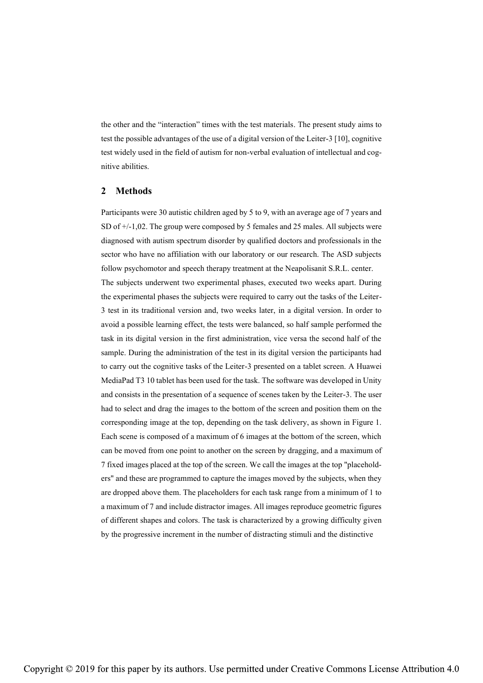the other and the "interaction" times with the test materials. The present study aims to test the possible advantages of the use of a digital version of the Leiter-3 [10], cognitive test widely used in the field of autism for non-verbal evaluation of intellectual and cognitive abilities.

### **2 Methods**

Participants were 30 autistic children aged by 5 to 9, with an average age of 7 years and SD of +/-1,02. The group were composed by 5 females and 25 males. All subjects were diagnosed with autism spectrum disorder by qualified doctors and professionals in the sector who have no affiliation with our laboratory or our research. The ASD subjects follow psychomotor and speech therapy treatment at the Neapolisanit S.R.L. center. The subjects underwent two experimental phases, executed two weeks apart. During the experimental phases the subjects were required to carry out the tasks of the Leiter-3 test in its traditional version and, two weeks later, in a digital version. In order to avoid a possible learning effect, the tests were balanced, so half sample performed the task in its digital version in the first administration, vice versa the second half of the sample. During the administration of the test in its digital version the participants had to carry out the cognitive tasks of the Leiter-3 presented on a tablet screen. A Huawei MediaPad T3 10 tablet has been used for the task. The software was developed in Unity and consists in the presentation of a sequence of scenes taken by the Leiter-3. The user had to select and drag the images to the bottom of the screen and position them on the corresponding image at the top, depending on the task delivery, as shown in Figure 1. Each scene is composed of a maximum of 6 images at the bottom of the screen, which can be moved from one point to another on the screen by dragging, and a maximum of 7 fixed images placed at the top of the screen. We call the images at the top "placeholders" and these are programmed to capture the images moved by the subjects, when they are dropped above them. The placeholders for each task range from a minimum of 1 to a maximum of 7 and include distractor images. All images reproduce geometric figures of different shapes and colors. The task is characterized by a growing difficulty given by the progressive increment in the number of distracting stimuli and the distinctive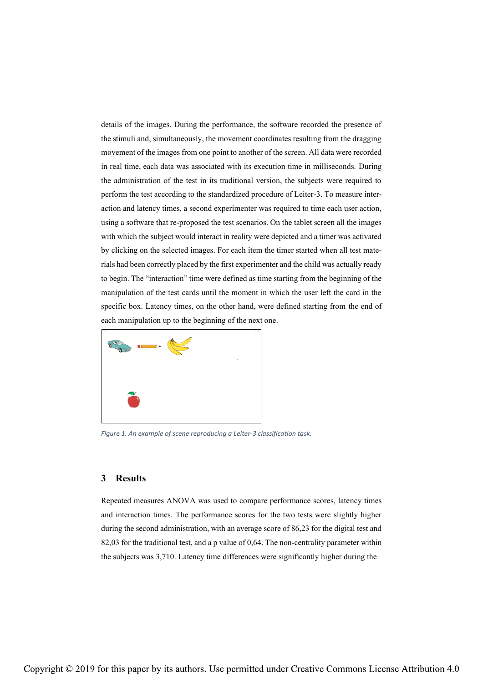details of the images. During the performance, the software recorded the presence of the stimuli and, simultaneously, the movement coordinates resulting from the dragging movement of the images from one point to another of the screen. All data were recorded in real time, each data was associated with its execution time in milliseconds. During the administration of the test in its traditional version, the subjects were required to perform the test according to the standardized procedure of Leiter-3. To measure interaction and latency times, a second experimenter was required to time each user action, using a software that re-proposed the test scenarios. On the tablet screen all the images with which the subject would interact in reality were depicted and a timer was activated by clicking on the selected images. For each item the timer started when all test materials had been correctly placed by the first experimenter and the child was actually ready to begin. The "interaction" time were defined as time starting from the beginning of the manipulation of the test cards until the moment in which the user left the card in the specific box. Latency times, on the other hand, were defined starting from the end of each manipulation up to the beginning of the next one.



*Figure 1. An example of scene reproducing a Leiter-3 classification task.*

# **3 Results**

Repeated measures ANOVA was used to compare performance scores, latency times and interaction times. The performance scores for the two tests were slightly higher during the second administration, with an average score of 86,23 for the digital test and 82,03 for the traditional test, and a p value of 0,64. The non-centrality parameter within the subjects was 3,710. Latency time differences were significantly higher during the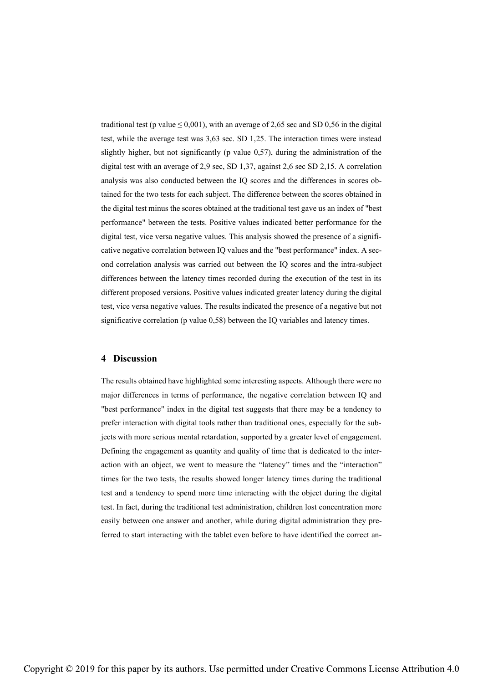traditional test (p value  $\leq 0.001$ ), with an average of 2,65 sec and SD 0,56 in the digital test, while the average test was 3,63 sec. SD 1,25. The interaction times were instead slightly higher, but not significantly (p value 0,57), during the administration of the digital test with an average of 2,9 sec, SD 1,37, against 2,6 sec SD 2,15. A correlation analysis was also conducted between the IQ scores and the differences in scores obtained for the two tests for each subject. The difference between the scores obtained in the digital test minus the scores obtained at the traditional test gave us an index of "best performance" between the tests. Positive values indicated better performance for the digital test, vice versa negative values. This analysis showed the presence of a significative negative correlation between IQ values and the "best performance" index. A second correlation analysis was carried out between the IQ scores and the intra-subject differences between the latency times recorded during the execution of the test in its different proposed versions. Positive values indicated greater latency during the digital test, vice versa negative values. The results indicated the presence of a negative but not significative correlation (p value 0,58) between the IQ variables and latency times.

# **4 Discussion**

The results obtained have highlighted some interesting aspects. Although there were no major differences in terms of performance, the negative correlation between IQ and "best performance" index in the digital test suggests that there may be a tendency to prefer interaction with digital tools rather than traditional ones, especially for the subjects with more serious mental retardation, supported by a greater level of engagement. Defining the engagement as quantity and quality of time that is dedicated to the interaction with an object, we went to measure the "latency" times and the "interaction" times for the two tests, the results showed longer latency times during the traditional test and a tendency to spend more time interacting with the object during the digital test. In fact, during the traditional test administration, children lost concentration more easily between one answer and another, while during digital administration they preferred to start interacting with the tablet even before to have identified the correct an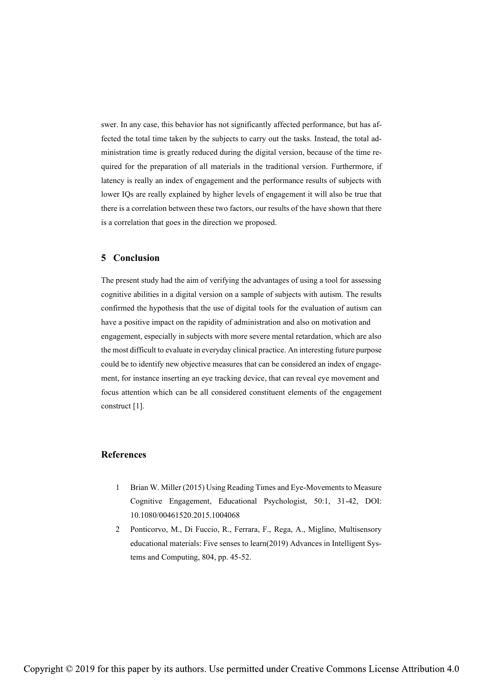swer. In any case, this behavior has not significantly affected performance, but has affected the total time taken by the subjects to carry out the tasks. Instead, the total administration time is greatly reduced during the digital version, because of the time required for the preparation of all materials in the traditional version. Furthermore, if latency is really an index of engagement and the performance results of subjects with lower IQs are really explained by higher levels of engagement it will also be true that there is a correlation between these two factors, our results of the have shown that there is a correlation that goes in the direction we proposed.

# **5 Conclusion**

The present study had the aim of verifying the advantages of using a tool for assessing cognitive abilities in a digital version on a sample of subjects with autism. The results confirmed the hypothesis that the use of digital tools for the evaluation of autism can have a positive impact on the rapidity of administration and also on motivation and engagement, especially in subjects with more severe mental retardation, which are also the most difficult to evaluate in everyday clinical practice. An interesting future purpose could be to identify new objective measures that can be considered an index of engagement, for instance inserting an eye tracking device, that can reveal eye movement and focus attention which can be all considered constituent elements of the engagement construct [1].

#### **References**

- 1 Brian W. Miller (2015) Using Reading Times and Eye-Movements to Measure Cognitive Engagement, Educational Psychologist, 50:1, 31-42, DOI: 10.1080/00461520.2015.1004068
- 2 Ponticorvo, M., Di Fuccio, R., Ferrara, F., Rega, A., Miglino, Multisensory educational materials: Five senses to learn(2019) Advances in Intelligent Systems and Computing, 804, pp. 45-52.